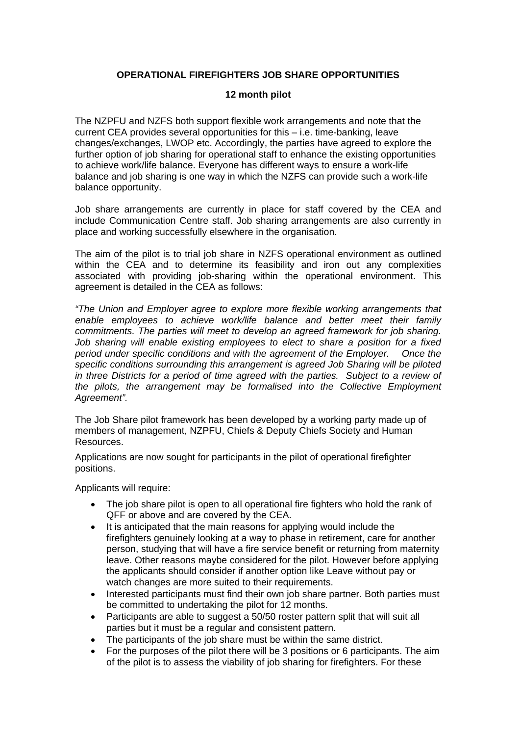## **OPERATIONAL FIREFIGHTERS JOB SHARE OPPORTUNITIES**

## **12 month pilot**

The NZPFU and NZFS both support flexible work arrangements and note that the current CEA provides several opportunities for this – i.e. time-banking, leave changes/exchanges, LWOP etc. Accordingly, the parties have agreed to explore the further option of job sharing for operational staff to enhance the existing opportunities to achieve work/life balance. Everyone has different ways to ensure a work-life balance and job sharing is one way in which the NZFS can provide such a work-life balance opportunity.

Job share arrangements are currently in place for staff covered by the CEA and include Communication Centre staff. Job sharing arrangements are also currently in place and working successfully elsewhere in the organisation.

The aim of the pilot is to trial job share in NZFS operational environment as outlined within the CEA and to determine its feasibility and iron out any complexities associated with providing job-sharing within the operational environment. This agreement is detailed in the CEA as follows:

*"The Union and Employer agree to explore more flexible working arrangements that enable employees to achieve work/life balance and better meet their family commitments. The parties will meet to develop an agreed framework for job sharing. Job sharing will enable existing employees to elect to share a position for a fixed period under specific conditions and with the agreement of the Employer. Once the specific conditions surrounding this arrangement is agreed Job Sharing will be piloted in three Districts for a period of time agreed with the parties. Subject to a review of the pilots, the arrangement may be formalised into the Collective Employment Agreement".* 

The Job Share pilot framework has been developed by a working party made up of members of management, NZPFU, Chiefs & Deputy Chiefs Society and Human Resources.

Applications are now sought for participants in the pilot of operational firefighter positions.

Applicants will require:

- The job share pilot is open to all operational fire fighters who hold the rank of QFF or above and are covered by the CEA.
- It is anticipated that the main reasons for applying would include the firefighters genuinely looking at a way to phase in retirement, care for another person, studying that will have a fire service benefit or returning from maternity leave. Other reasons maybe considered for the pilot. However before applying the applicants should consider if another option like Leave without pay or watch changes are more suited to their requirements.
- Interested participants must find their own job share partner. Both parties must be committed to undertaking the pilot for 12 months.
- Participants are able to suggest a 50/50 roster pattern split that will suit all parties but it must be a regular and consistent pattern.
- The participants of the job share must be within the same district.
- For the purposes of the pilot there will be 3 positions or 6 participants. The aim of the pilot is to assess the viability of job sharing for firefighters. For these